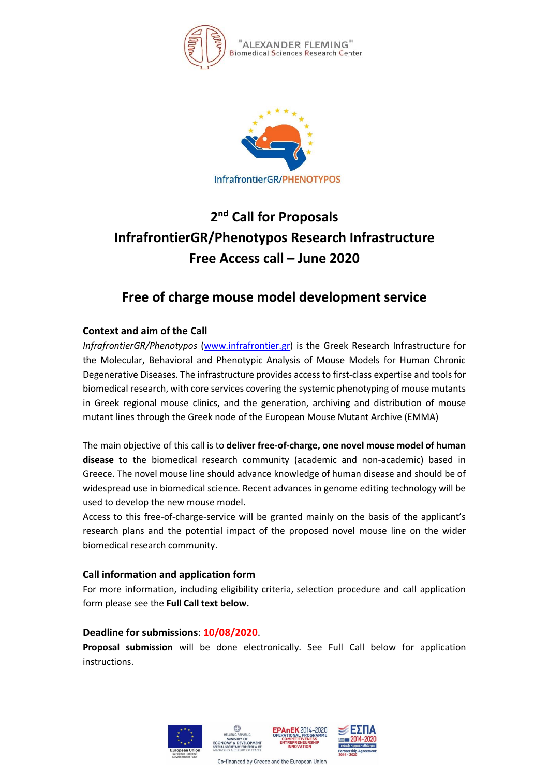



# **2 nd Call for Proposals InfrafrontierGR/Phenotypos Research Infrastructure Free Access call – June 2020**

## **Free of charge mouse model development service**

### **Context and aim of the Call**

*InfrafrontierGR/Phenotypos* [\(www.infrafrontier.gr\)](http://www.infrafrontier.gr/) is the Greek Research Infrastructure for the Molecular, Behavioral and Phenotypic Analysis of Mouse Models for Human Chronic Degenerative Diseases. The infrastructure provides access to first-class expertise and tools for biomedical research, with core services covering the systemic phenotyping of mouse mutants in Greek regional mouse clinics, and the generation, archiving and distribution of mouse mutant lines through the Greek node of the European Mouse Mutant Archive (EMMA)

The main objective of this call is to **deliver free-of-charge, one novel mouse model of human disease** to the biomedical research community (academic and non-academic) based in Greece. The novel mouse line should advance knowledge of human disease and should be of widespread use in biomedical science. Recent advances in genome editing technology will be used to develop the new mouse model.

Access to this free-of-charge-service will be granted mainly on the basis of the applicant's research plans and the potential impact of the proposed novel mouse line on the wider biomedical research community.

#### **Call information and application form**

For more information, including eligibility criteria, selection procedure and call application form please see the **Full Call text below.**

#### **Deadline for submissions**: **10/08/2020**.

**Proposal submission** will be done electronically. See Full Call below for application instructions.



Co-financed by Greece and the European Union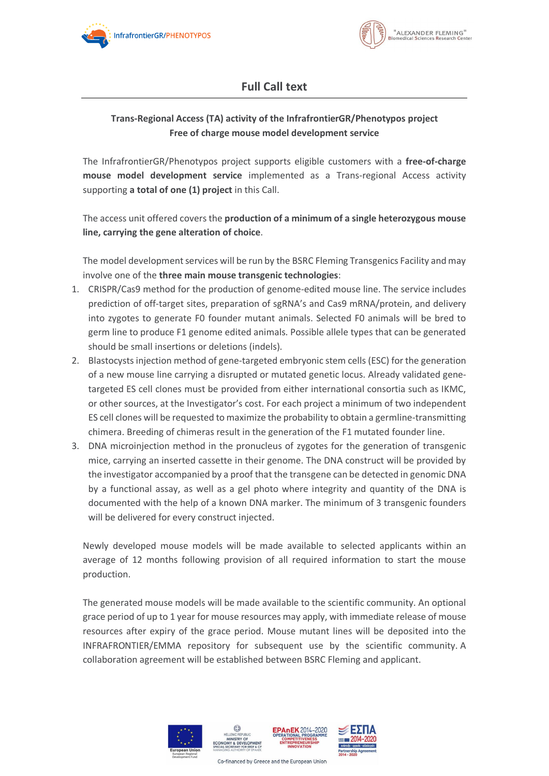



## **Full Call text**

### **Trans-Regional Access (TA) activity of the InfrafrontierGR/Phenotypos project Free of charge mouse model development service**

The InfrafrontierGR/Phenotypos project supports eligible customers with a **free-of-charge mouse model development service** implemented as a Trans-regional Access activity supporting **a total of one (1) project** in this Call.

The access unit offered covers the **production of a minimum of a single heterozygous mouse line, carrying the gene alteration of choice**.

The model development services will be run by the BSRC Fleming Transgenics Facility and may involve one of the **three main mouse transgenic technologies**:

- 1. CRISPR/Cas9 method for the production of genome-edited mouse line. The service includes prediction of off-target sites, preparation of sgRNA's and Cas9 mRNA/protein, and delivery into zygotes to generate F0 founder mutant animals. Selected F0 animals will be bred to germ line to produce F1 genome edited animals. Possible allele types that can be generated should be small insertions or deletions (indels).
- 2. Blastocysts injection method of gene-targeted embryonic stem cells (ESC) for the generation of a new mouse line carrying a disrupted or mutated genetic locus. Already validated genetargeted ES cell clones must be provided from either international consortia such as IKMC, or other sources, at the Investigator's cost. For each project a minimum of two independent ES cell clones will be requested to maximize the probability to obtain a germline-transmitting chimera. Breeding of chimeras result in the generation of the F1 mutated founder line.
- 3. DNA microinjection method in the pronucleus of zygotes for the generation of transgenic mice, carrying an inserted cassette in their genome. The DNA construct will be provided by the investigator accompanied by a proof that the transgene can be detected in genomic DNA by a functional assay, as well as a gel photo where integrity and quantity of the DNA is documented with the help of a known DNA marker. The minimum of 3 transgenic founders will be delivered for every construct injected.

Newly developed mouse models will be made available to selected applicants within an average of 12 months following provision of all required information to start the mouse production.

The generated mouse models will be made available to the scientific community. An optional grace period of up to 1 year for mouse resources may apply, with immediate release of mouse resources after expiry of the grace period. Mouse mutant lines will be deposited into the INFRAFRONTIER/EMMA repository for subsequent use by the scientific community. A collaboration agreement will be established between BSRC Fleming and applicant.



Co-financed by Greece and the European Union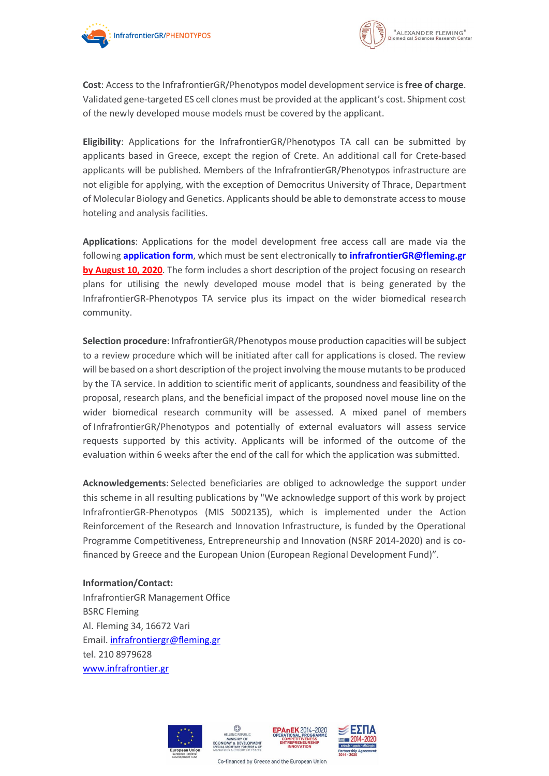



**Cost**: Access to the InfrafrontierGR/Phenotypos model developmentservice is **free of charge**. Validated gene-targeted ES cell clones must be provided at the applicant's cost. Shipment cost of the newly developed mouse models must be covered by the applicant.

**Eligibility**: Applications for the InfrafrontierGR/Phenotypos TA call can be submitted by applicants based in Greece, except the region of Crete. An additional call for Crete-based applicants will be published. Members of the InfrafrontierGR/Phenotypos infrastructure are not eligible for applying, with the exception of Democritus University of Thrace, Department of Molecular Biology and Genetics. Applicantsshould be able to demonstrate accessto mouse hoteling and analysis facilities.

**Applications**: Applications for the model development free access call are made via the following **[application](https://drive.google.com/file/d/11iStbTOiDora-SgNAZjHbgj1oJln7-yH/view?usp=sharing) form**, which must be sent electronically **to [infrafrontierGR@fleming.gr](mailto:infrafrontierGR@fleming.gr) by August 10, 2020**. The form includes a short description of the project focusing on research plans for utilising the newly developed mouse model that is being generated by the InfrafrontierGR-Phenotypos TA service plus its impact on the wider biomedical research community.

**Selection procedure**: InfrafrontierGR/Phenotypos mouse production capacities will be subject to a review procedure which will be initiated after call for applications is closed. The review will be based on a short description of the project involving the mouse mutants to be produced by the TA service. In addition to scientific merit of applicants, soundness and feasibility of the proposal, research plans, and the beneficial impact of the proposed novel mouse line on the wider biomedical research community will be assessed. A mixed panel of members of InfrafrontierGR/Phenotypos and potentially of external evaluators will assess service requests supported by this activity. Applicants will be informed of the outcome of the evaluation within 6 weeks after the end of the call for which the application was submitted.

**Acknowledgements**: Selected beneficiaries are obliged to acknowledge the support under this scheme in all resulting publications by "We acknowledge support of this work by project InfrafrontierGR-Phenotypos (MIS 5002135), which is implemented under the Action Reinforcement of the Research and Innovation Infrastructure, is funded by the Operational Programme Competitiveness, Entrepreneurship and Innovation (NSRF 2014-2020) and is cofinanced by Greece and the European Union (European Regional Development Fund)".

#### **Information/Contact:**

InfrafrontierGR Management Office BSRC Fleming Al. Fleming 34, 16672 Vari Email. [infrafrontiergr@fleming.gr](mailto:infrafrontiergr@fleming.gr) tel. 210 8979628 [www.infrafrontier.gr](http://www.infrafrontier.gr/)